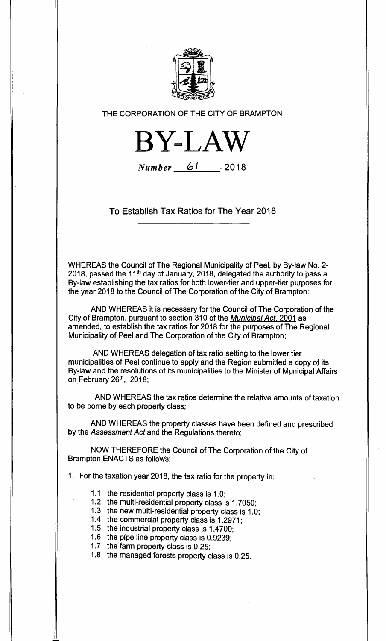

**THE CORPORATION OF THE CITY OF BRAMPTON** 



Number 61 **-2018** 

**To Establish Tax Ratios for The Year 2018** 

**WHEREAS the Council of The Regional Municipality of Peel, by By-law No. 2- 2018, passed the 11th day of January, 2018, delegated the authority to pass a By-law establishing the tax ratios for both lower-tier and upper-tier purposes for the year 2018 to the Council of The Corporation of the City of Brampton:** 

**AND WHEREAS it is necessary for the Council of The Corporation of the City of Brampton, pursuant to section 310 of the** Municipal Act, **2001 as amended, to establish the tax ratios for 2018 for the purposes of The Regional Municipality of Peel and The Corporation of the City of Brampton;** 

**AND WHEREAS delegation of tax ratio setting to the lower tier municipalities of Peel continue to apply and the Region submitted a copy of its By-law and the resolutions of its municipalities to the Minister of Municipal Affairs on February 26th, 2018;** 

**AND WHEREAS the tax ratios determine the relative amounts of taxation to be borne by each property class;** 

**AND WHEREAS the property classes have been defined and prescribed by the** Assessment Act **and the Regulations thereto;** 

**NOW THEREFORE the Council of The Corporation of the City of Brampton ENACTS as follows:** 

**1. For the taxation year 2018, the tax ratio for the property in:** 

- **1.1 the residential property class is 1.0;**
- **1.2 the multi-residential property class is 1.7050;**
- **1.3 the new multi-residential property class is 1.0;**
- **1.4 the commercial property class is 1.2971;**
- **1.5 the industrial property class is 1.4700;**
- **1.6 the pipe line property class is 0.9239;**
- **1.7 the farm property class is 0.25;**
- **1.8 the managed forests property class is 0.25.**